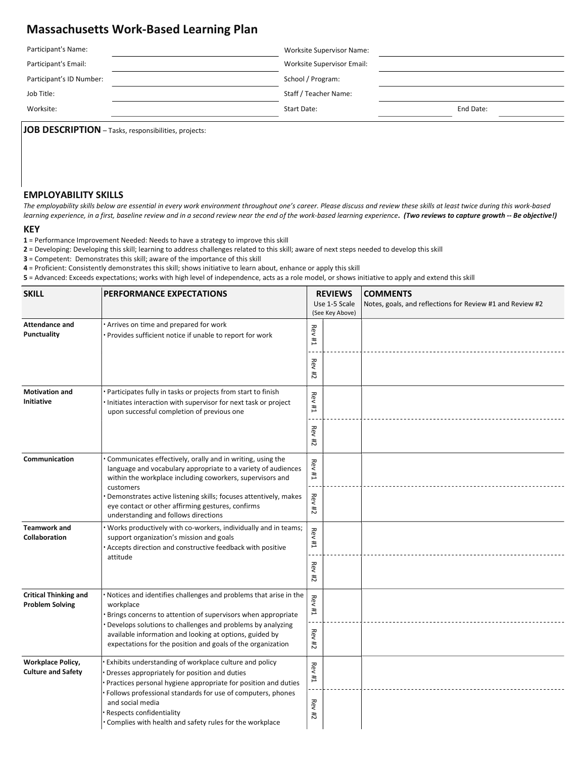# Massachusetts Work-Based Learning Plan

| Participant's Name:      | <b>Worksite Supervisor Name:</b> |           |  |
|--------------------------|----------------------------------|-----------|--|
| Participant's Email:     | Worksite Supervisor Email:       |           |  |
| Participant's ID Number: | School / Program:                |           |  |
| Job Title:               | Staff / Teacher Name:            |           |  |
| Worksite:                | Start Date:                      | End Date: |  |

JOB DESCRIPTION - Tasks, responsibilities, projects:

### EMPLOYABILITY SKILLS

The employability skills below are essential in every work environment throughout one's career. Please discuss and review these skills at least twice during this work-based learning experience, in a first, baseline review and in a second review near the end of the work-based learning experience. (Two reviews to capture growth -- Be objective!)

#### KEY

1 = Performance Improvement Needed: Needs to have a strategy to improve this skill

2 = Developing: Developing this skill; learning to address challenges related to this skill; aware of next steps needed to develop this skill

3 = Competent: Demonstrates this skill; aware of the importance of this skill

4 = Proficient: Consistently demonstrates this skill; shows initiative to learn about, enhance or apply this skill

5 = Advanced: Exceeds expectations; works with high level of independence, acts as a role model, or shows initiative to apply and extend this skill

| <b>SKILL</b>                                           | <b>PERFORMANCE EXPECTATIONS</b>                                                                                                                                                                                                                                                                                                                     | <b>REVIEWS</b><br>Use 1-5 Scale<br>(See Key Above) |  | <b>COMMENTS</b><br>Notes, goals, and reflections for Review #1 and Review #2 |
|--------------------------------------------------------|-----------------------------------------------------------------------------------------------------------------------------------------------------------------------------------------------------------------------------------------------------------------------------------------------------------------------------------------------------|----------------------------------------------------|--|------------------------------------------------------------------------------|
| <b>Attendance and</b><br><b>Punctuality</b>            | Arrives on time and prepared for work<br>· Provides sufficient notice if unable to report for work                                                                                                                                                                                                                                                  | $ReV$ #1                                           |  |                                                                              |
|                                                        |                                                                                                                                                                                                                                                                                                                                                     | <b>Rev #2</b>                                      |  |                                                                              |
| <b>Motivation and</b><br>Initiative                    | · Participates fully in tasks or projects from start to finish<br>Initiates interaction with supervisor for next task or project<br>upon successful completion of previous one                                                                                                                                                                      | Rev<br>#1                                          |  |                                                                              |
|                                                        |                                                                                                                                                                                                                                                                                                                                                     | <b>Rev</b><br>74                                   |  |                                                                              |
| Communication                                          | Communicates effectively, orally and in writing, using the<br>language and vocabulary appropriate to a variety of audiences<br>within the workplace including coworkers, supervisors and<br>customers                                                                                                                                               | <b>Rev #1</b>                                      |  |                                                                              |
|                                                        | Demonstrates active listening skills; focuses attentively, makes<br>eye contact or other affirming gestures, confirms<br>understanding and follows directions                                                                                                                                                                                       | <b>Rev</b><br>$\frac{4}{11}$                       |  |                                                                              |
| <b>Teamwork and</b><br>Collaboration                   | Works productively with co-workers, individually and in teams;<br>support organization's mission and goals<br>Accepts direction and constructive feedback with positive<br>attitude                                                                                                                                                                 | <b>Rev</b><br>$\overline{11}$                      |  |                                                                              |
|                                                        |                                                                                                                                                                                                                                                                                                                                                     | ReV#2                                              |  |                                                                              |
| <b>Critical Thinking and</b><br><b>Problem Solving</b> | Notices and identifies challenges and problems that arise in the<br>workplace<br>Brings concerns to attention of supervisors when appropriate<br>Develops solutions to challenges and problems by analyzing<br>available information and looking at options, guided by<br>expectations for the position and goals of the organization               | <b>Rev</b><br>#1                                   |  |                                                                              |
|                                                        |                                                                                                                                                                                                                                                                                                                                                     | <b>Rev</b><br>$\overline{11}$                      |  |                                                                              |
| <b>Workplace Policy,</b><br><b>Culture and Safety</b>  | Exhibits understanding of workplace culture and policy<br>Dresses appropriately for position and duties<br>Practices personal hygiene appropriate for position and duties<br>Follows professional standards for use of computers, phones<br>and social media<br>Respects confidentiality<br>Complies with health and safety rules for the workplace | Rev<br>Ħ,                                          |  |                                                                              |
|                                                        |                                                                                                                                                                                                                                                                                                                                                     | ReV#2                                              |  |                                                                              |